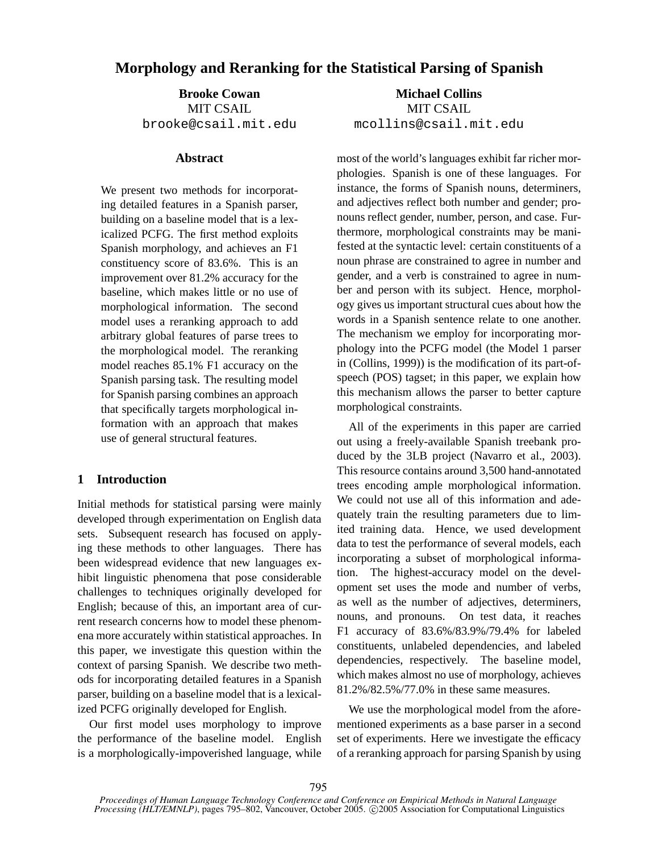# **Morphology and Reranking for the Statistical Parsing of Spanish**

**Brooke Cowan** MIT CSAIL brooke@csail.mit.edu

#### **Abstract**

We present two methods for incorporating detailed features in a Spanish parser, building on a baseline model that is a lexicalized PCFG. The first method exploits Spanish morphology, and achieves an F1 constituency score of 83.6%. This is an improvement over 81.2% accuracy for the baseline, which makes little or no use of morphological information. The second model uses a reranking approach to add arbitrary global features of parse trees to the morphological model. The reranking model reaches 85.1% F1 accuracy on the Spanish parsing task. The resulting model for Spanish parsing combines an approach that specifically targets morphological information with an approach that makes use of general structural features.

## **1 Introduction**

Initial methods for statistical parsing were mainly developed through experimentation on English data sets. Subsequent research has focused on applying these methods to other languages. There has been widespread evidence that new languages exhibit linguistic phenomena that pose considerable challenges to techniques originally developed for English; because of this, an important area of current research concerns how to model these phenomena more accurately within statistical approaches. In this paper, we investigate this question within the context of parsing Spanish. We describe two methods for incorporating detailed features in a Spanish parser, building on a baseline model that is a lexicalized PCFG originally developed for English.

Our first model uses morphology to improve the performance of the baseline model. English is a morphologically-impoverished language, while

**Michael Collins** MIT CSAIL mcollins@csail.mit.edu

most of the world's languages exhibit far richer morphologies. Spanish is one of these languages. For instance, the forms of Spanish nouns, determiners, and adjectives reflect both number and gender; pronouns reflect gender, number, person, and case. Furthermore, morphological constraints may be manifested at the syntactic level: certain constituents of a noun phrase are constrained to agree in number and gender, and a verb is constrained to agree in number and person with its subject. Hence, morphology gives us important structural cues about how the words in a Spanish sentence relate to one another. The mechanism we employ for incorporating morphology into the PCFG model (the Model 1 parser in (Collins, 1999)) is the modification of its part-ofspeech (POS) tagset; in this paper, we explain how this mechanism allows the parser to better capture morphological constraints.

All of the experiments in this paper are carried out using a freely-available Spanish treebank produced by the 3LB project (Navarro et al., 2003). This resource contains around 3,500 hand-annotated trees encoding ample morphological information. We could not use all of this information and adequately train the resulting parameters due to limited training data. Hence, we used development data to test the performance of several models, each incorporating a subset of morphological information. The highest-accuracy model on the development set uses the mode and number of verbs, as well as the number of adjectives, determiners, nouns, and pronouns. On test data, it reaches F1 accuracy of 83.6%/83.9%/79.4% for labeled constituents, unlabeled dependencies, and labeled dependencies, respectively. The baseline model, which makes almost no use of morphology, achieves 81.2%/82.5%/77.0% in these same measures.

We use the morphological model from the aforementioned experiments as a base parser in a second set of experiments. Here we investigate the efficacy of a reranking approach for parsing Spanish by using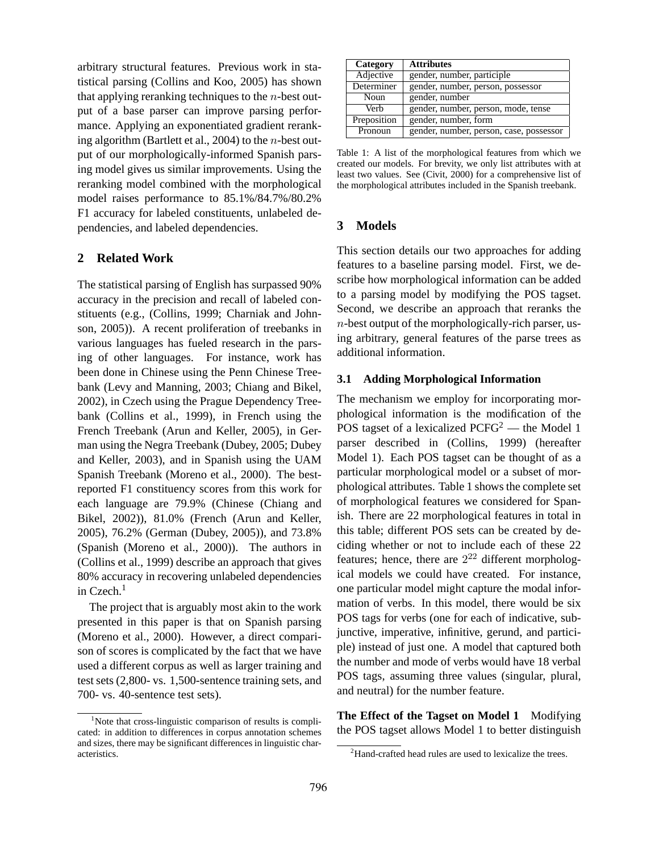arbitrary structural features. Previous work in statistical parsing (Collins and Koo, 2005) has shown that applying reranking techniques to the  $n$ -best output of a base parser can improve parsing performance. Applying an exponentiated gradient reranking algorithm (Bartlett et al., 2004) to the  $n$ -best output of our morphologically-informed Spanish parsing model gives us similar improvements. Using the reranking model combined with the morphological model raises performance to 85.1%/84.7%/80.2% F1 accuracy for labeled constituents, unlabeled dependencies, and labeled dependencies.

## **2 Related Work**

The statistical parsing of English has surpassed 90% accuracy in the precision and recall of labeled constituents (e.g., (Collins, 1999; Charniak and Johnson, 2005)). A recent proliferation of treebanks in various languages has fueled research in the parsing of other languages. For instance, work has been done in Chinese using the Penn Chinese Treebank (Levy and Manning, 2003; Chiang and Bikel, 2002), in Czech using the Prague Dependency Treebank (Collins et al., 1999), in French using the French Treebank (Arun and Keller, 2005), in German using the Negra Treebank (Dubey, 2005; Dubey and Keller, 2003), and in Spanish using the UAM Spanish Treebank (Moreno et al., 2000). The bestreported F1 constituency scores from this work for each language are 79.9% (Chinese (Chiang and Bikel, 2002)), 81.0% (French (Arun and Keller, 2005), 76.2% (German (Dubey, 2005)), and 73.8% (Spanish (Moreno et al., 2000)). The authors in (Collins et al., 1999) describe an approach that gives 80% accuracy in recovering unlabeled dependencies in Czech.<sup>1</sup>

The project that is arguably most akin to the work presented in this paper is that on Spanish parsing (Moreno et al., 2000). However, a direct comparison of scores is complicated by the fact that we have used a different corpus as well as larger training and test sets (2,800- vs. 1,500-sentence training sets, and 700- vs. 40-sentence test sets).

| Category    | <b>Attributes</b>                       |
|-------------|-----------------------------------------|
| Adjective   | gender, number, participle              |
| Determiner  | gender, number, person, possessor       |
| Noun        | gender, number                          |
| Verb        | gender, number, person, mode, tense     |
| Preposition | gender, number, form                    |
| Pronoun     | gender, number, person, case, possessor |

Table 1: A list of the morphological features from which we created our models. For brevity, we only list attributes with at least two values. See (Civit, 2000) for a comprehensive list of the morphological attributes included in the Spanish treebank.

## **3 Models**

This section details our two approaches for adding features to a baseline parsing model. First, we describe how morphological information can be added to a parsing model by modifying the POS tagset. Second, we describe an approach that reranks the  $n$ -best output of the morphologically-rich parser, using arbitrary, general features of the parse trees as additional information.

### **3.1 Adding Morphological Information**

The mechanism we employ for incorporating morphological information is the modification of the POS tagset of a lexicalized  $PCFG^2$  — the Model 1 parser described in (Collins, 1999) (hereafter Model 1). Each POS tagset can be thought of as a particular morphological model or a subset of morphological attributes. Table 1 shows the complete set of morphological features we considered for Spanish. There are 22 morphological features in total in this table; different POS sets can be created by deciding whether or not to include each of these 22 features; hence, there are  $2^{22}$  different morphological models we could have created. For instance, one particular model might capture the modal information of verbs. In this model, there would be six POS tags for verbs (one for each of indicative, subjunctive, imperative, infinitive, gerund, and participle) instead of just one. A model that captured both the number and mode of verbs would have 18 verbal POS tags, assuming three values (singular, plural, and neutral) for the number feature.

**The Effect of the Tagset on Model 1** Modifying the POS tagset allows Model 1 to better distinguish

<sup>&</sup>lt;sup>1</sup>Note that cross-linguistic comparison of results is complicated: in addition to differences in corpus annotation schemes and sizes, there may be significant differences in linguistic characteristics.

<sup>&</sup>lt;sup>2</sup>Hand-crafted head rules are used to lexicalize the trees.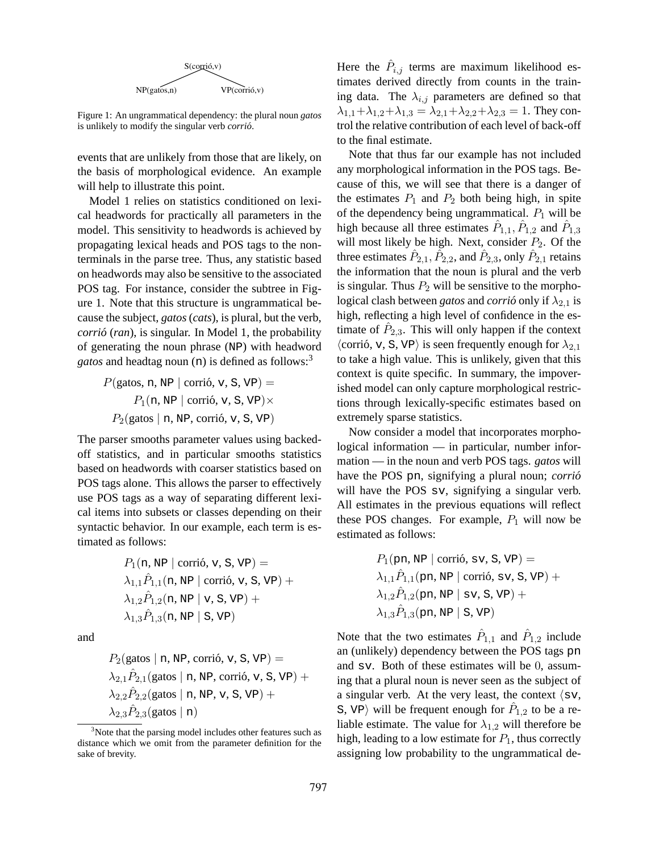

Figure 1: An ungrammatical dependency: the plural noun *gatos* is unlikely to modify the singular verb *corrio´*.

events that are unlikely from those that are likely, on the basis of morphological evidence. An example will help to illustrate this point.

Model 1 relies on statistics conditioned on lexical headwords for practically all parameters in the model. This sensitivity to headwords is achieved by propagating lexical heads and POS tags to the nonterminals in the parse tree. Thus, any statistic based on headwords may also be sensitive to the associated POS tag. For instance, consider the subtree in Figure 1. Note that this structure is ungrammatical because the subject, *gatos* (*cats*), is plural, but the verb, *corrio´* (*ran*), is singular. In Model 1, the probability of generating the noun phrase (NP) with headword *gatos* and headtag noun (n) is defined as follows:<sup>3</sup>

> $P(\text{gatos}, n, NP \mid \text{corrió}, v, S, VP) =$  $P_1(n, NP \mid \text{corri6}, v, S, VP) \times$  $P_2$ (gatos | n, NP, corrió, v, S, VP)

The parser smooths parameter values using backedoff statistics, and in particular smooths statistics based on headwords with coarser statistics based on POS tags alone. This allows the parser to effectively use POS tags as a way of separating different lexical items into subsets or classes depending on their syntactic behavior. In our example, each term is estimated as follows:

$$
P_1(n, NP \mid \text{corrió, v, S, VP}) =
$$
\n
$$
\lambda_{1,1} \hat{P}_{1,1}(n, NP \mid \text{corrió, v, S, VP}) +
$$
\n
$$
\lambda_{1,2} \hat{P}_{1,2}(n, NP \mid v, S, VP) +
$$
\n
$$
\lambda_{1,3} \hat{P}_{1,3}(n, NP \mid S, VP)
$$

and

$$
P_2(\text{gatos} \mid n, \text{NP}, \text{corrió}, \text{v}, \text{S}, \text{VP}) =
$$
\n
$$
\lambda_{2,1} \hat{P}_{2,1}(\text{gatos} \mid n, \text{NP}, \text{corrió}, \text{v}, \text{S}, \text{VP}) +
$$
\n
$$
\lambda_{2,2} \hat{P}_{2,2}(\text{gatos} \mid n, \text{NP}, \text{v}, \text{S}, \text{VP}) +
$$
\n
$$
\lambda_{2,3} \hat{P}_{2,3}(\text{gatos} \mid n)
$$

Here the  $\hat{P}_{i,j}$  terms are maximum likelihood estimates derived directly from counts in the training data. The  $\lambda_{i,j}$  parameters are defined so that  $\lambda_{1,1}+\lambda_{1,2}+\lambda_{1,3}=\lambda_{2,1}+\lambda_{2,2}+\lambda_{2,3}=1$ . They control the relative contribution of each level of back-off to the final estimate.

Note that thus far our example has not included any morphological information in the POS tags. Because of this, we will see that there is a danger of the estimates  $P_1$  and  $P_2$  both being high, in spite of the dependency being ungrammatical.  $P_1$  will be high because all three estimates  $\hat{P}_{1,1}, \hat{P}_{1,2}$  and  $\hat{P}_{1,3}$ will most likely be high. Next, consider  $P_2$ . Of the three estimates  $\hat{P}_{2,1}, \hat{P}_{2,2}$ , and  $\hat{P}_{2,3}$ , only  $\hat{P}_{2,1}$  retains the information that the noun is plural and the verb is singular. Thus  $P_2$  will be sensitive to the morphological clash between *gatos* and *corrió* only if  $\lambda_{2,1}$  is high, reflecting a high level of confidence in the estimate of  $\hat{P}_{2,3}$ . This will only happen if the context  $\langle \text{corri6}, \, v, \, S, \, VP \rangle$  is seen frequently enough for  $\lambda_{2,1}$ to take a high value. This is unlikely, given that this context is quite specific. In summary, the impoverished model can only capture morphological restrictions through lexically-specific estimates based on extremely sparse statistics.

Now consider a model that incorporates morphological information — in particular, number information — in the noun and verb POS tags. *gatos* will have the POS pn, signifying a plural noun; *corrio´* will have the POS sv, signifying a singular verb. All estimates in the previous equations will reflect these POS changes. For example,  $P_1$  will now be estimated as follows:

$$
P_1(\text{pn, NP} \mid \text{corrió, sv, S, VP}) =
$$
\n
$$
\lambda_{1,1} \hat{P}_{1,1}(\text{pn, NP} \mid \text{corrió, sv, S, VP}) +
$$
\n
$$
\lambda_{1,2} \hat{P}_{1,2}(\text{pn, NP} \mid \text{sv, S, VP}) +
$$
\n
$$
\lambda_{1,3} \hat{P}_{1,3}(\text{pn, NP} \mid \text{S, VP})
$$

Note that the two estimates  $\hat{P}_{1,1}$  and  $\hat{P}_{1,2}$  include an (unlikely) dependency between the POS tags pn and sv. Both of these estimates will be 0, assuming that a plural noun is never seen as the subject of a singular verb. At the very least, the context  $\langle sv, \rangle$ S, VP $\rangle$  will be frequent enough for  $\hat{P}_{1,2}$  to be a reliable estimate. The value for  $\lambda_{1,2}$  will therefore be high, leading to a low estimate for  $P_1$ , thus correctly assigning low probability to the ungrammatical de-

<sup>&</sup>lt;sup>3</sup>Note that the parsing model includes other features such as distance which we omit from the parameter definition for the sake of brevity.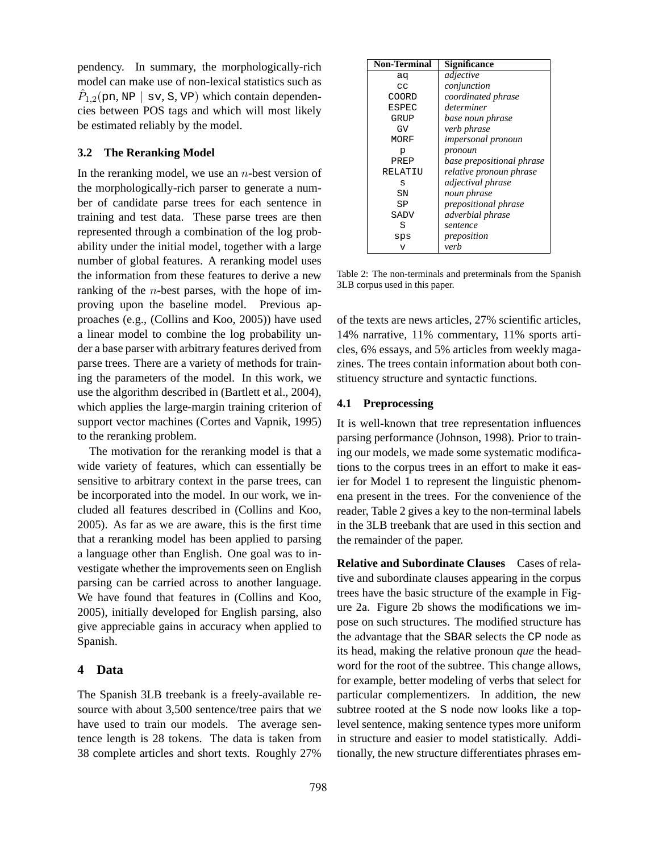pendency. In summary, the morphologically-rich model can make use of non-lexical statistics such as  $\hat{P}_{1,2}(\text{pn}, \text{NP} \mid \text{sv}, \text{S}, \text{VP})$  which contain dependencies between POS tags and which will most likely be estimated reliably by the model.

#### **3.2 The Reranking Model**

In the reranking model, we use an  $n$ -best version of the morphologically-rich parser to generate a number of candidate parse trees for each sentence in training and test data. These parse trees are then represented through a combination of the log probability under the initial model, together with a large number of global features. A reranking model uses the information from these features to derive a new ranking of the  $n$ -best parses, with the hope of improving upon the baseline model. Previous approaches (e.g., (Collins and Koo, 2005)) have used a linear model to combine the log probability under a base parser with arbitrary features derived from parse trees. There are a variety of methods for training the parameters of the model. In this work, we use the algorithm described in (Bartlett et al., 2004), which applies the large-margin training criterion of support vector machines (Cortes and Vapnik, 1995) to the reranking problem.

The motivation for the reranking model is that a wide variety of features, which can essentially be sensitive to arbitrary context in the parse trees, can be incorporated into the model. In our work, we included all features described in (Collins and Koo, 2005). As far as we are aware, this is the first time that a reranking model has been applied to parsing a language other than English. One goal was to investigate whether the improvements seen on English parsing can be carried across to another language. We have found that features in (Collins and Koo, 2005), initially developed for English parsing, also give appreciable gains in accuracy when applied to Spanish.

## **4 Data**

The Spanish 3LB treebank is a freely-available resource with about 3,500 sentence/tree pairs that we have used to train our models. The average sentence length is 28 tokens. The data is taken from 38 complete articles and short texts. Roughly 27%

| <b>Non-Terminal</b> | Significance                |
|---------------------|-----------------------------|
| aq                  | adjective                   |
| CC                  | conjunction                 |
| COORD               | coordinated phrase          |
| ESPEC               | determiner                  |
| GRUP                | base noun phrase            |
| GV                  | verb phrase                 |
| MORF                | <i>impersonal pronoun</i>   |
| p                   | pronoun                     |
| PREP                | base prepositional phrase   |
| <b>RELATIU</b>      | relative pronoun phrase     |
| S                   | adjectival phrase           |
| SN                  | noun phrase                 |
| SP                  | <i>prepositional phrase</i> |
| SADV                | adverbial phrase            |
| S                   | sentence                    |
| sps                 | preposition                 |
|                     | verb                        |

Table 2: The non-terminals and preterminals from the Spanish 3LB corpus used in this paper.

of the texts are news articles, 27% scientific articles, 14% narrative, 11% commentary, 11% sports articles, 6% essays, and 5% articles from weekly magazines. The trees contain information about both constituency structure and syntactic functions.

#### **4.1 Preprocessing**

It is well-known that tree representation influences parsing performance (Johnson, 1998). Prior to training our models, we made some systematic modifications to the corpus trees in an effort to make it easier for Model 1 to represent the linguistic phenomena present in the trees. For the convenience of the reader, Table 2 gives a key to the non-terminal labels in the 3LB treebank that are used in this section and the remainder of the paper.

**Relative and Subordinate Clauses** Cases of relative and subordinate clauses appearing in the corpus trees have the basic structure of the example in Figure 2a. Figure 2b shows the modifications we impose on such structures. The modified structure has the advantage that the SBAR selects the CP node as its head, making the relative pronoun *que* the headword for the root of the subtree. This change allows, for example, better modeling of verbs that select for particular complementizers. In addition, the new subtree rooted at the S node now looks like a toplevel sentence, making sentence types more uniform in structure and easier to model statistically. Additionally, the new structure differentiates phrases em-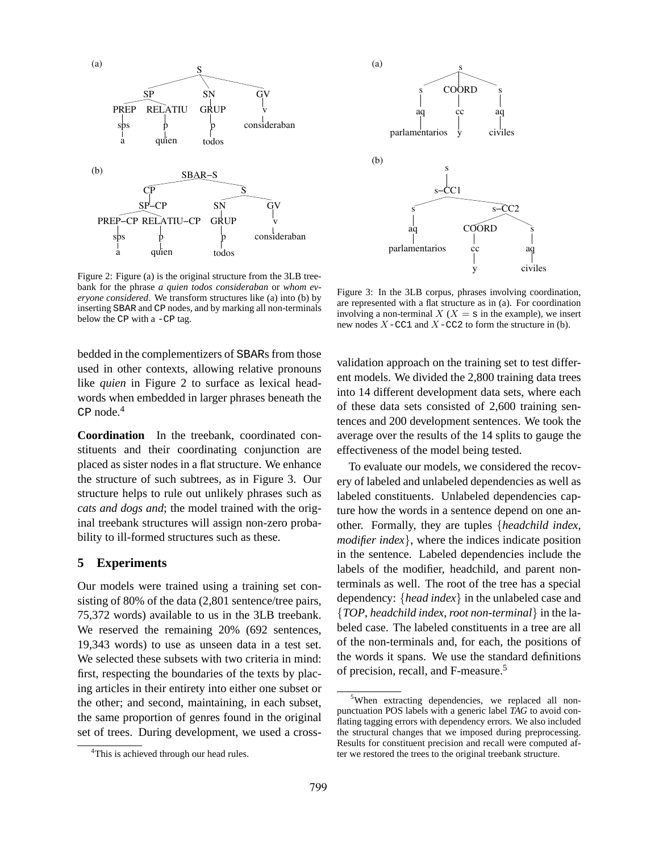

Figure 2: Figure (a) is the original structure from the 3LB treebank for the phrase *a quien todos consideraban* or *whom everyone considered*. We transform structures like (a) into (b) by inserting SBAR and CP nodes, and by marking all non-terminals below the CP with a -CP tag.

bedded in the complementizers of SBARs from those used in other contexts, allowing relative pronouns like *quien* in Figure 2 to surface as lexical headwords when embedded in larger phrases beneath the CP node.<sup>4</sup>

**Coordination** In the treebank, coordinated constituents and their coordinating conjunction are placed as sister nodes in a flat structure. We enhance the structure of such subtrees, as in Figure 3. Our structure helps to rule out unlikely phrases such as *cats and dogs and*; the model trained with the original treebank structures will assign non-zero probability to ill-formed structures such as these.

### **5 Experiments**

Our models were trained using a training set consisting of 80% of the data (2,801 sentence/tree pairs, 75,372 words) available to us in the 3LB treebank. We reserved the remaining 20% (692 sentences, 19,343 words) to use as unseen data in a test set. We selected these subsets with two criteria in mind: first, respecting the boundaries of the texts by placing articles in their entirety into either one subset or the other; and second, maintaining, in each subset, the same proportion of genres found in the original set of trees. During development, we used a cross-



Figure 3: In the 3LB corpus, phrases involving coordination, are represented with a flat structure as in (a). For coordination involving a non-terminal  $X$  ( $X = s$  in the example), we insert new nodes  $X$ -CC1 and  $X$ -CC2 to form the structure in (b).

validation approach on the training set to test different models. We divided the 2,800 training data trees into 14 different development data sets, where each of these data sets consisted of 2,600 training sentences and 200 development sentences. We took the average over the results of the 14 splits to gauge the effectiveness of the model being tested.

To evaluate our models, we considered the recovery of labeled and unlabeled dependencies as well as labeled constituents. Unlabeled dependencies capture how the words in a sentence depend on one another. Formally, they are tuples {*headchild index*, *modifier index*, where the indices indicate position in the sentence. Labeled dependencies include the labels of the modifier, headchild, and parent nonterminals as well. The root of the tree has a special dependency: {*head index*} in the unlabeled case and {*TOP*, *headchild index*, *root non-terminal*} in the labeled case. The labeled constituents in a tree are all of the non-terminals and, for each, the positions of the words it spans. We use the standard definitions of precision, recall, and F-measure.<sup>5</sup>

<sup>&</sup>lt;sup>4</sup>This is achieved through our head rules.

<sup>&</sup>lt;sup>5</sup>When extracting dependencies, we replaced all nonpunctuation POS labels with a generic label *TAG* to avoid conflating tagging errors with dependency errors. We also included the structural changes that we imposed during preprocessing. Results for constituent precision and recall were computed after we restored the trees to the original treebank structure.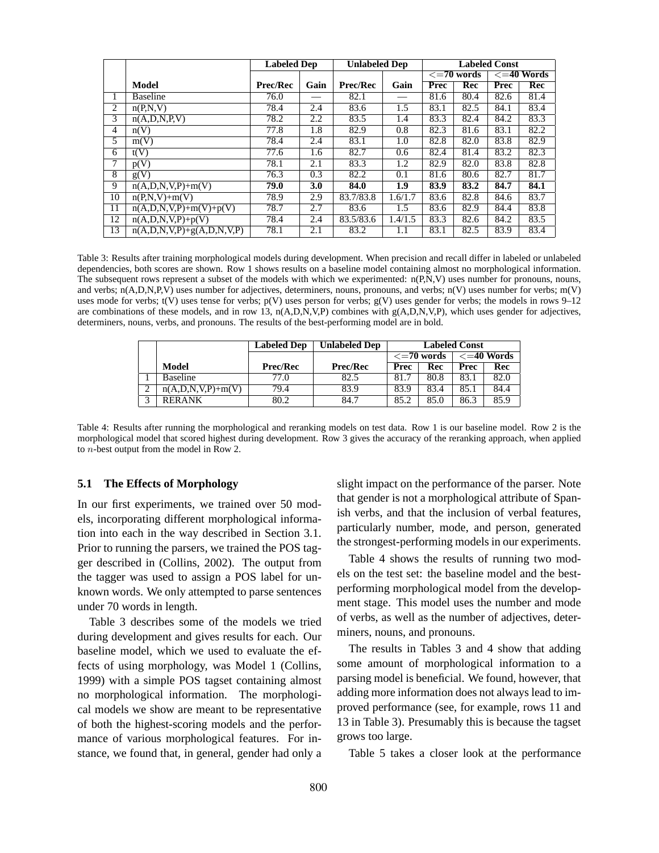|                 |                                       | <b>Unlabeled Dep</b><br><b>Labeled Dep</b> |            |                 | <b>Labeled Const</b> |                         |      |                          |            |
|-----------------|---------------------------------------|--------------------------------------------|------------|-----------------|----------------------|-------------------------|------|--------------------------|------------|
|                 |                                       |                                            |            |                 |                      | $\overline{<=}70$ words |      | $\overline{z}$ =40 Words |            |
|                 | Model                                 | <b>Prec/Rec</b>                            | Gain       | <b>Prec/Rec</b> | Gain                 | Prec                    | Rec  | Prec                     | <b>Rec</b> |
| $\mathbf{I}$    | <b>Baseline</b>                       | 76.0                                       |            | 82.1            |                      | 81.6                    | 80.4 | 82.6                     | 81.4       |
| 2               | n(P,N,V)                              | 78.4                                       | 2.4        | 83.6            | 1.5                  | 83.1                    | 82.5 | 84.1                     | 83.4       |
| 3               | n(A, D, N, P, V)                      | 78.2                                       | 2.2        | 83.5            | 1.4                  | 83.3                    | 82.4 | 84.2                     | 83.3       |
| 4               | n(V)                                  | 77.8                                       | 1.8        | 82.9            | 0.8                  | 82.3                    | 81.6 | 83.1                     | 82.2       |
| 5               | m(V)                                  | 78.4                                       | 2.4        | 83.1            | 1.0                  | 82.8                    | 82.0 | 83.8                     | 82.9       |
| 6               | t(V)                                  | 77.6                                       | 1.6        | 82.7            | 0.6                  | 82.4                    | 81.4 | 83.2                     | 82.3       |
| 7               | p(V)                                  | 78.1                                       | 2.1        | 83.3            | 1.2                  | 82.9                    | 82.0 | 83.8                     | 82.8       |
| 8               | g(V)                                  | 76.3                                       | 0.3        | 82.2            | 0.1                  | 81.6                    | 80.6 | 82.7                     | 81.7       |
| 9               | $n(A, D, N, V, P) + m(V)$             | 79.0                                       | <b>3.0</b> | 84.0            | $\overline{1.9}$     | 83.9                    | 83.2 | 84.7                     | 84.1       |
| 10              | $n(P,N,V)+m(V)$                       | 78.9                                       | 2.9        | 83.7/83.8       | 1.6/1.7              | 83.6                    | 82.8 | 84.6                     | 83.7       |
| 11              | $n(A, D, N, V, P) + m(V) + p(V)$      | 78.7                                       | 2.7        | 83.6            | 1.5                  | 83.6                    | 82.9 | 84.4                     | 83.8       |
| $\overline{12}$ | $n(A, D, N, V, P) + p(V)$             | 78.4                                       | 2.4        | 83.5/83.6       | 1.4/1.5              | 83.3                    | 82.6 | 84.2                     | 83.5       |
| 13              | $n(A, D, N, V, P) + g(A, D, N, V, P)$ | 78.1                                       | 2.1        | 83.2            | 1.1                  | 83.1                    | 82.5 | 83.9                     | 83.4       |

Table 3: Results after training morphological models during development. When precision and recall differ in labeled or unlabeled dependencies, both scores are shown. Row 1 shows results on a baseline model containing almost no morphological information. The subsequent rows represent a subset of the models with which we experimented: n(P,N,V) uses number for pronouns, nouns, and verbs;  $n(A, D, N, P, V)$  uses number for adjectives, determiners, nouns, pronouns, and verbs; n(V) uses number for verbs; m(V) uses mode for verbs;  $t(V)$  uses tense for verbs;  $p(V)$  uses person for verbs;  $g(V)$  uses gender for verbs; the models in rows 9–12 are combinations of these models, and in row 13, n(A,D,N,V,P) combines with g(A,D,N,V,P), which uses gender for adjectives, determiners, nouns, verbs, and pronouns. The results of the best-performing model are in bold.

|   |                           | <b>Labeled Dep</b> | <b>Unlabeled Dep</b> | <b>Labeled Const</b>  |      |                       |      |
|---|---------------------------|--------------------|----------------------|-----------------------|------|-----------------------|------|
|   |                           |                    |                      | $\epsilon = 70$ words |      | $\epsilon = 40$ Words |      |
|   | Model                     | <b>Prec/Rec</b>    | <b>Prec/Rec</b>      | Prec                  | Rec  | Prec                  | Rec  |
|   | <b>Baseline</b>           | 77.0               | 82.5                 | 81.7                  | 80.8 | 83.1                  | 82.0 |
|   | $n(A, D, N, V, P) + m(V)$ | 79.4               | 83.9                 | 83.9                  | 83.4 | 85.1                  | 84.4 |
| 2 | <b>RERANK</b>             | 80.2               | 84.7                 | 85.2                  | 85.0 | 86.3                  | 85.9 |

Table 4: Results after running the morphological and reranking models on test data. Row 1 is our baseline model. Row 2 is the morphological model that scored highest during development. Row 3 gives the accuracy of the reranking approach, when applied to n-best output from the model in Row 2.

#### **5.1 The Effects of Morphology**

In our first experiments, we trained over 50 models, incorporating different morphological information into each in the way described in Section 3.1. Prior to running the parsers, we trained the POS tagger described in (Collins, 2002). The output from the tagger was used to assign a POS label for unknown words. We only attempted to parse sentences under 70 words in length.

Table 3 describes some of the models we tried during development and gives results for each. Our baseline model, which we used to evaluate the effects of using morphology, was Model 1 (Collins, 1999) with a simple POS tagset containing almost no morphological information. The morphological models we show are meant to be representative of both the highest-scoring models and the performance of various morphological features. For instance, we found that, in general, gender had only a slight impact on the performance of the parser. Note that gender is not a morphological attribute of Spanish verbs, and that the inclusion of verbal features, particularly number, mode, and person, generated the strongest-performing models in our experiments.

Table 4 shows the results of running two models on the test set: the baseline model and the bestperforming morphological model from the development stage. This model uses the number and mode of verbs, as well as the number of adjectives, determiners, nouns, and pronouns.

The results in Tables 3 and 4 show that adding some amount of morphological information to a parsing model is beneficial. We found, however, that adding more information does not always lead to improved performance (see, for example, rows 11 and 13 in Table 3). Presumably this is because the tagset grows too large.

Table 5 takes a closer look at the performance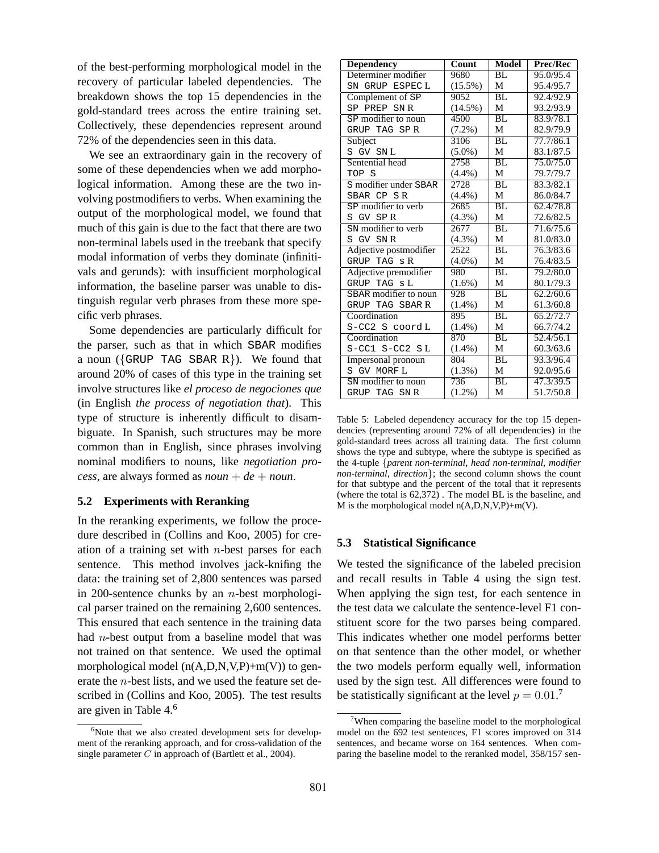of the best-performing morphological model in the recovery of particular labeled dependencies. The breakdown shows the top 15 dependencies in the gold-standard trees across the entire training set. Collectively, these dependencies represent around 72% of the dependencies seen in this data.

We see an extraordinary gain in the recovery of some of these dependencies when we add morphological information. Among these are the two involving postmodifiers to verbs. When examining the output of the morphological model, we found that much of this gain is due to the fact that there are two non-terminal labels used in the treebank that specify modal information of verbs they dominate (infinitivals and gerunds): with insufficient morphological information, the baseline parser was unable to distinguish regular verb phrases from these more specific verb phrases.

Some dependencies are particularly difficult for the parser, such as that in which SBAR modifies a noun ( $\{GRUP$  TAG SBAR R $\}$ ). We found that around 20% of cases of this type in the training set involve structures like *el proceso de negociones que* (in English *the process of negotiation that*). This type of structure is inherently difficult to disambiguate. In Spanish, such structures may be more common than in English, since phrases involving nominal modifiers to nouns, like *negotiation process*, are always formed as  $noun + de + noun$ .

## **5.2 Experiments with Reranking**

In the reranking experiments, we follow the procedure described in (Collins and Koo, 2005) for creation of a training set with  $n$ -best parses for each sentence. This method involves jack-knifing the data: the training set of 2,800 sentences was parsed in 200-sentence chunks by an *n*-best morphological parser trained on the remaining 2,600 sentences. This ensured that each sentence in the training data had n-best output from a baseline model that was not trained on that sentence. We used the optimal morphological model  $(n(A, D, N, V, P) + m(V))$  to generate the n-best lists, and we used the feature set described in (Collins and Koo, 2005). The test results are given in Table 4.<sup>6</sup>

| <b>Dependency</b>      | Count      | Model           | Prec/Rec  |
|------------------------|------------|-----------------|-----------|
| Determiner modifier    | 9680       | BL              | 95.0/95.4 |
| SN GRUP ESPECL         | $(15.5\%)$ | М               | 95.4/95.7 |
| Complement of SP       | 9052       | BL.             | 92.4/92.9 |
| SP PREP SNR            | $(14.5\%)$ | М               | 93.2/93.9 |
| SP modifier to noun    | 4500       | $\overline{BL}$ | 83.9/78.1 |
| GRUP TAG SPR           | $(7.2\%)$  | М               | 82.9/79.9 |
| Subject                | 3106       | BL              | 77.7/86.1 |
| S GV SNL               | $(5.0\%)$  | М               | 83.1/87.5 |
| Sentential head        | 2758       | BL              | 75.0/75.0 |
| TOP S                  | $(4.4\%)$  | М               | 79.7/79.7 |
| S modifier under SBAR  | 2728       | BL              | 83.3/82.1 |
| SBAR CP SR             | $(4.4\%)$  | М               | 86.0/84.7 |
| SP modifier to verb    | 2685       | $\overline{BL}$ | 62.4/78.8 |
| S GV SPR               | $(4.3\%)$  | М               | 72.6/82.5 |
| SN modifier to verb    | 2677       | $\overline{BL}$ | 71.6/75.6 |
| S GV SNR               | $(4.3\%)$  | М               | 81.0/83.0 |
| Adjective postmodifier | 2522       | $\overline{BL}$ | 76.3/83.6 |
| GRUP TAG s R           | $(4.0\%)$  | М               | 76.4/83.5 |
| Adjective premodifier  | 980        | BL              | 79.2/80.0 |
| GRUP TAG sL            | $(1.6\%)$  | М               | 80.1/79.3 |
| SBAR modifier to noun  | 928        | BL              | 62.2/60.6 |
| GRUP TAG SBAR R        | $(1.4\%)$  | М               | 61.3/60.8 |
| Coordination           | 895        | BL.             | 65.2/72.7 |
| S-CC2 S coord L        | $(1.4\%)$  | М               | 66.7/74.2 |
| Coordination           | 870        | $\overline{BL}$ | 52.4/56.1 |
| $S-CC1$ $S-CC2$ $SL$   | $(1.4\%)$  | М               | 60.3/63.6 |
| Impersonal pronoun     | 804        | BL              | 93.3/96.4 |
| S GV MORF L            | $(1.3\%)$  | М               | 92.0/95.6 |
| SN modifier to noun    | 736        | $B\overline{L}$ | 47.3/39.5 |
| GRUP TAG SNR           | $(1.2\%)$  | M               | 51.7/50.8 |

Table 5: Labeled dependency accuracy for the top 15 dependencies (representing around 72% of all dependencies) in the gold-standard trees across all training data. The first column shows the type and subtype, where the subtype is specified as the 4-tuple {*parent non-terminal*, *head non-terminal*, *modifier non-terminal*, *direction*}; the second column shows the count for that subtype and the percent of the total that it represents (where the total is 62,372) . The model BL is the baseline, and M is the morphological model  $n(A, D, N, V, P) + m(V)$ .

#### **5.3 Statistical Significance**

We tested the significance of the labeled precision and recall results in Table 4 using the sign test. When applying the sign test, for each sentence in the test data we calculate the sentence-level F1 constituent score for the two parses being compared. This indicates whether one model performs better on that sentence than the other model, or whether the two models perform equally well, information used by the sign test. All differences were found to be statistically significant at the level  $p = 0.01$ .<sup>7</sup>

 $6$ Note that we also created development sets for development of the reranking approach, and for cross-validation of the single parameter  $C$  in approach of (Bartlett et al., 2004).

 $7$ When comparing the baseline model to the morphological model on the 692 test sentences, F1 scores improved on 314 sentences, and became worse on 164 sentences. When comparing the baseline model to the reranked model, 358/157 sen-